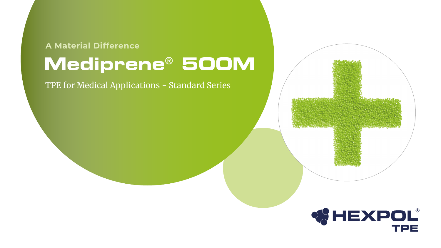TPE for Medical Applications - Standard Series



# **Mediprene**® **500M A Material Difference**



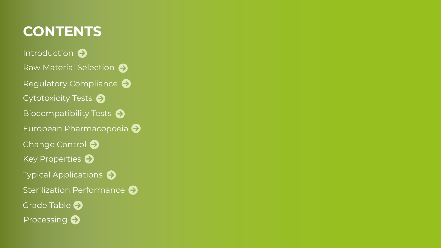## **CONTENTS**

[Introduction](#page-2-0)  $\Theta$ [Raw Material Selection](#page-3-0)  $\bigodot$ [Biocompatibility Tests](#page-6-0)  $\bigodot$ [European Pharmacopoeia](#page-9-0)  $\Theta$ [Key Properties](#page-12-0)  $\ominus$ [Processing](#page-16-0)  $\bigodot$ [Typical Applications](#page-13-0)  $\bigodot$ [Grade Table](#page-15-0)  $\bigodot$ [Cytotoxicity Tests](#page-5-0)  $\ominus$ [Regulatory Compliance](#page-4-0)  $\Theta$ [Sterilization Performance](#page-14-0)  $\bigodot$ [Change Control](#page-10-0)  $\bigodot$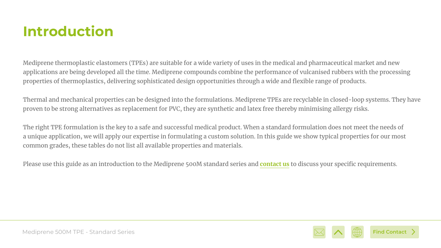Mediprene thermoplastic elastomers (TPEs) are suitable for a wide variety of uses in the medical and pharmaceutical market and new applications are being developed all the time. Mediprene compounds combine the performance of vulcanised rubbers with the processing properties of thermoplastics, delivering sophisticated design opportunities through a wide and flexible range of products.

Thermal and mechanical properties can be designed into the formulations. Mediprene TPEs are recyclable in closed-loop systems. They have proven to be strong alternatives as replacement for PVC, they are synthetic and latex free thereby minimising allergy risks.

The right TPE formulation is the key to a safe and successful medical product. When a standard formulation does not meet the needs of a unique application, we will apply our expertise in formulating a custom solution. In this guide we show typical properties for our most common grades, these tables do not list all available properties and materials.

Please use this guide as an introduction to the Mediprene 500M standard series and **[contact us](mailto:mediprene%40hexpolTPE.com?subject=Mediprene%20500M%20Standard%20Series%20eGuide)** to discuss your specific requirements.

## <span id="page-2-0"></span>**Introduction**





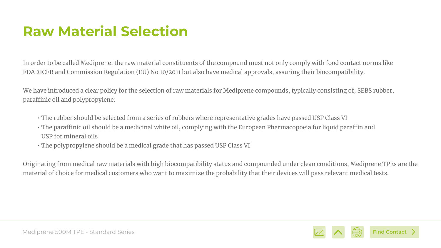In order to be called Mediprene, the raw material constituents of the compound must not only comply with food contact norms like FDA 21CFR and Commission Regulation (EU) No 10/2011 but also have medical approvals, assuring their biocompatibility.

We have introduced a clear policy for the selection of raw materials for Mediprene compounds, typically consisting of; SEBS rubber, paraffinic oil and polypropylene:

- The rubber should be selected from a series of rubbers where representative grades have passed USP Class VI
- The paraffinic oil should be a medicinal white oil, complying with the European Pharmacopoeia for liquid paraffin and USP for mineral oils
- The polypropylene should be a medical grade that has passed USP Class VI

Originating from medical raw materials with high biocompatibility status and compounded under clean conditions, Mediprene TPEs are the material of choice for medical customers who want to maximize the probability that their devices will pass relevant medical tests.

# <span id="page-3-0"></span>**Raw Material Selection**





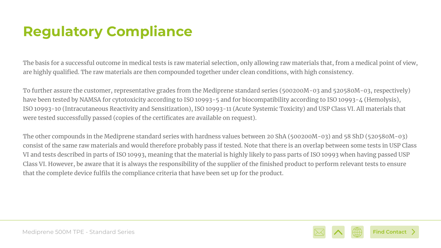The basis for a successful outcome in medical tests is raw material selection, only allowing raw materials that, from a medical point of view, are highly qualified. The raw materials are then compounded together under clean conditions, with high consistency.

To further assure the customer, representative grades from the Mediprene standard series (500200M-03 and 520580M-03, respectively) have been tested by NAMSA for cytotoxicity according to ISO 10993-5 and for biocompatibility according to ISO 10993-4 (Hemolysis), ISO 10993-10 (Intracutaneous Reactivity and Sensitization), ISO 10993-11 (Acute Systemic Toxicity) and USP Class VI. All materials that were tested successfully passed (copies of the certificates are available on request).

The other compounds in the Mediprene standard series with hardness values between 20 ShA (500200M-03) and 58 ShD (520580M-03) consist of the same raw materials and would therefore probably pass if tested. Note that there is an overlap between some tests in USP Class VI and tests described in parts of ISO 10993, meaning that the material is highly likely to pass parts of ISO 10993 when having passed USP Class VI. However, be aware that it is always the responsibility of the supplier of the finished product to perform relevant tests to ensure that the complete device fulfils the compliance criteria that have been set up for the product.

# <span id="page-4-0"></span>**Regulatory Compliance**



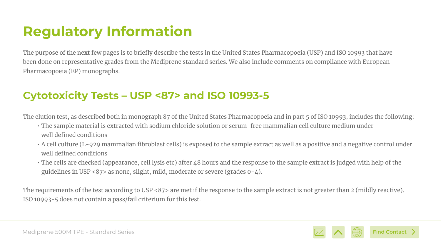The purpose of the next few pages is to briefly describe the tests in the United States Pharmacopoeia (USP) and ISO 10993 that have been done on representative grades from the Mediprene standard series. We also include comments on compliance with European Pharmacopoeia (EP) monographs.

# <span id="page-5-0"></span>**Regulatory Information**

The elution test, as described both in monograph 87 of the United States Pharmacopoeia and in part 5 of ISO 10993, includes the following: • The sample material is extracted with sodium chloride solution or serum-free mammalian cell culture medium under

• A cell culture (L-929 mammalian fibroblast cells) is exposed to the sample extract as well as a positive and a negative control under

- well defined conditions
- well defined conditions
- guidelines in USP <87> as none, slight, mild, moderate or severe (grades 0-4).

• The cells are checked (appearance, cell lysis etc) after 48 hours and the response to the sample extract is judged with help of the



The requirements of the test according to USP <87> are met if the response to the sample extract is not greater than 2 (mildly reactive). ISO 10993-5 does not contain a pass/fail criterium for this test.

#### **Cytotoxicity Tests – USP <87> and ISO 10993-5**



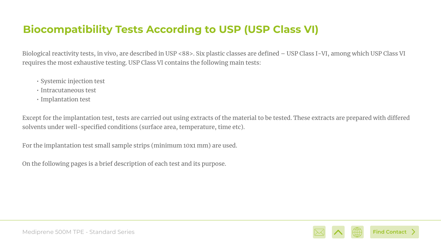Biological reactivity tests, in vivo, are described in USP <88>. Six plastic classes are defined – USP Class I-VI, among which USP Class VI requires the most exhaustive testing. USP Class VI contains the following main tests:

- Systemic injection test
- Intracutaneous test
- Implantation test

Except for the implantation test, tests are carried out using extracts of the material to be tested. These extracts are prepared with differed solvents under well-specified conditions (surface area, temperature, time etc).

For the implantation test small sample strips (minimum 10x1 mm) are used.

On the following pages is a brief description of each test and its purpose.

#### <span id="page-6-0"></span>**Biocompatibility Tests According to USP (USP Class VI)**



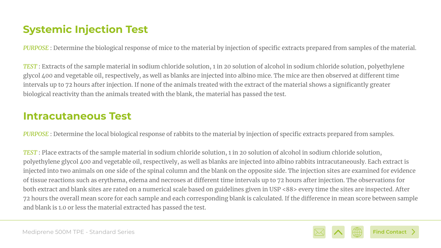*PURPOSE* : Determine the biological response of mice to the material by injection of specific extracts prepared from samples of the material.

*TEST* : Extracts of the sample material in sodium chloride solution, 1 in 20 solution of alcohol in sodium chloride solution, polyethylene glycol 400 and vegetable oil, respectively, as well as blanks are injected into albino mice. The mice are then observed at different time intervals up to 72 hours after injection. If none of the animals treated with the extract of the material shows a significantly greater biological reactivity than the animals treated with the blank, the material has passed the test.

#### **Systemic Injection Test**







*PURPOSE* : Determine the local biological response of rabbits to the material by injection of specific extracts prepared from samples.

*TEST* : Place extracts of the sample material in sodium chloride solution, 1 in 20 solution of alcohol in sodium chloride solution, polyethylene glycol 400 and vegetable oil, respectively, as well as blanks are injected into albino rabbits intracutaneously. Each extract is injected into two animals on one side of the spinal column and the blank on the opposite side. The injection sites are examined for evidence of tissue reactions such as erythema, edema and necroses at different time intervals up to 72 hours after injection. The observations for both extract and blank sites are rated on a numerical scale based on guidelines given in USP <88> every time the sites are inspected. After 72 hours the overall mean score for each sample and each corresponding blank is calculated. If the difference in mean score between sample and blank is 1.0 or less the material extracted has passed the test.

#### **Intracutaneous Test**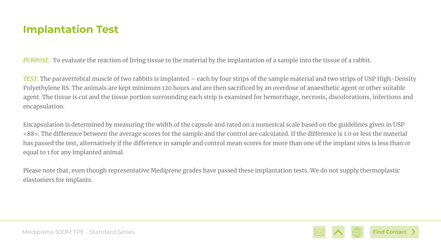*PURPOSE :* To evaluate the reaction of living tissue to the material by the implantation of a sample into the tissue of a rabbit.

*TEST:* The paravertebral muscle of two rabbits is implanted – each by four strips of the sample material and two strips of USP High-Density Polyethylene RS. The animals are kept minimum 120 hours and are then sacrificed by an overdose of anaesthetic agent or other suitable agent. The tissue is cut and the tissue portion surrounding each strip is examined for hemorrhage, necrosis, discolorations, infections and encapsulation.

Encapsulation is determined by measuring the width of the capsule and rated on a numerical scale based on the guidelines given in USP <88>. The difference between the average scores for the sample and the control are calculated. If the difference is 1.0 or less the material has passed the test, alternatively if the difference in sample and control mean scores for more than one of the implant sites is less than or equal to 1 for any implanted animal.

Please note that, even though representative Mediprene grades have passed these implantation tests. We do not supply thermoplastic elastomers for implants.

#### **Implantation Test**





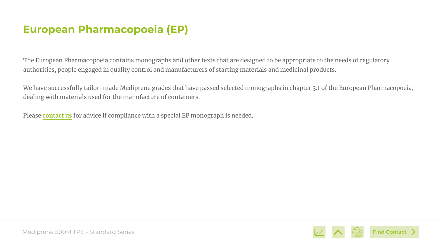The European Pharmacopoeia contains monographs and other texts that are designed to be appropriate to the needs of regulatory authorities, people engaged in quality control and manufacturers of starting materials and medicinal products.

We have successfully tailor-made Mediprene grades that have passed selected monographs in chapter 3.1 of the European Pharmacopoeia, dealing with materials used for the manufacture of containers.

Please **[contact us](mailto:mediprene%40hexpoltpe.com?subject=Mediprene%20500M%20standard%20eGuide%20EN)** for advice if compliance with a special EP monograph is needed.

#### <span id="page-9-0"></span>**European Pharmacopoeia (EP)**



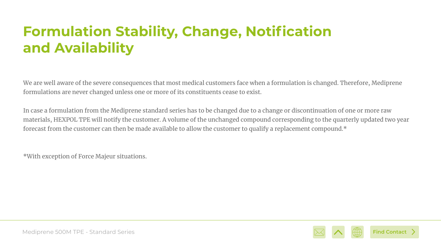We are well aware of the severe consequences that most medical customers face when a formulation is changed. Therefore, Mediprene formulations are never changed unless one or more of its constituents cease to exist.

In case a formulation from the Mediprene standard series has to be changed due to a change or discontinuation of one or more raw materials, HEXPOL TPE will notify the customer. A volume of the unchanged compound corresponding to the quarterly updated two year forecast from the customer can then be made available to allow the customer to qualify a replacement compound.\*

\*With exception of Force Majeur situations.

# <span id="page-10-0"></span>**Formulation Stability, Change, Notification and Availability**



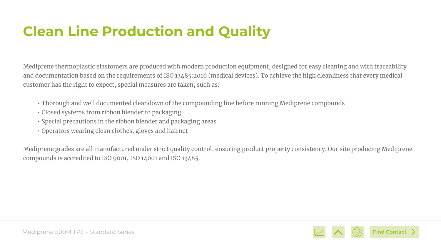Mediprene thermoplastic elastomers are produced with modern production equipment, designed for easy cleaning and with traceability and documentation based on the requirements of ISO 13485:2016 (medical devices). To achieve the high cleanliness that every medical customer has the right to expect, special measures are taken, such as:

- Thorough and well documented cleandown of the compounding line before running Mediprene compounds
- Closed systems from ribbon blender to packaging
- Special precautions in the ribbon blender and packaging areas
- Operators wearing clean clothes, gloves and hairnet

Mediprene grades are all manufactured under strict quality control, ensuring product property consistency. Our site producing Mediprene compounds is accredited to ISO 9001, ISO 14001 and ISO 13485.

# **Clean Line Production and Quality**



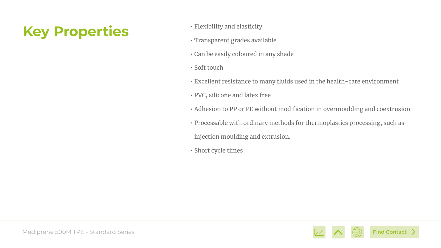- Flexibility and elasticity
- Transparent grades available
- Can be easily coloured in any shade
- Soft touch
- Excellent resistance to many fluids used in the health-care environment
- PVC, silicone and latex free
- Adhesion to PP or PE without modification in overmoulding and coextrusion
- Processable with ordinary methods for thermoplastics processing, such as
	- injection moulding and extrusion.
- Short cycle times

## <span id="page-12-0"></span>**Key Properties**

Mediprene 500M TPE - Standard Series



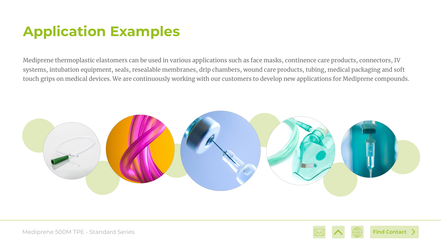Mediprene thermoplastic elastomers can be used in various applications such as face masks, continence care products, connectors, IV systems, intubation equipment, seals, resealable membranes, drip chambers, wound care products, tubing, medical packaging and soft touch grips on medical devices. We are continuously working with our customers to develop new applications for Mediprene compounds.



# <span id="page-13-0"></span>**Application Examples**





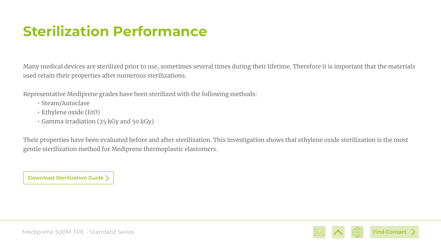Many medical devices are sterilized prior to use, sometimes several times during their lifetime. Therefore it is important that the materials used retain their properties after numerous sterilizations.

Representative Mediprene grades have been sterilized with the following methods:

- Steam/Autoclave
- Ethylene oxide (EtO)
- Gamma irradiation (25 kGy and 50 kGy)

Their properties have been evaluated before and after sterilization. This investigation shows that ethylene oxide sterilization is the most gentle sterilization method for Mediprene thermoplastic elastomers.

# <span id="page-14-0"></span>**Sterilization Performance**

**[Download Sterilization Guide](https://www.hexpol.com/tpe/what-we-offer/mediprene-tpe/)**



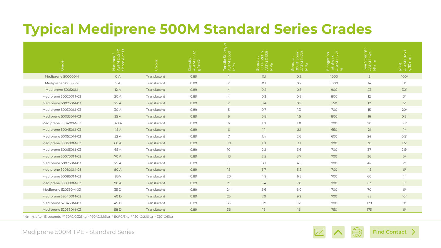# <span id="page-15-0"></span>**Typical Mediprene 500M Standard Series Grades**

| $\overline{O}$                                                                                                                                       | $Q \cap$<br>うくう<br>こくう | $\Box$<br>$\circ$<br>$\overline{\circ}$ |      |                 |     |                   | tion<br>$\frac{10}{10}$ at $\frac{2}{5}$ | $\pm$<br>- 2    | D1238            |
|------------------------------------------------------------------------------------------------------------------------------------------------------|------------------------|-----------------------------------------|------|-----------------|-----|-------------------|------------------------------------------|-----------------|------------------|
| Mediprene 500000M                                                                                                                                    | OA                     | Translucent                             | 0.89 |                 | 0.1 | 0.2               | 1000                                     | $5\overline{)}$ | 100 <sup>5</sup> |
| Mediprene 500050M                                                                                                                                    | 5 A                    | Translucent                             | 0.89 | $\overline{2}$  | O.1 | 0.2               | 1000                                     | 74              | 3 <sup>2</sup>   |
| Mediprene 500120M                                                                                                                                    | 12A                    | Translucent                             | 0.89 | $\overline{4}$  | 0.2 | 0.5               | 900                                      | 23              | 30 <sup>3</sup>  |
| Mediprene 500200M-03                                                                                                                                 | 20 A                   | Translucent                             | 0.89 | $\overline{4}$  | 0.3 | 0.8               | 800                                      | 12              | 3 <sup>4</sup>   |
| Mediprene 500250M-03                                                                                                                                 | 25 A                   | Translucent                             | 0.89 | $\overline{2}$  | 0.4 | 0.9               | 550                                      | 12              | 5 <sup>4</sup>   |
| Mediprene 500300M-03                                                                                                                                 | 30 A                   | Translucent                             | 0.89 | 5               | 0.7 | 1.3               | 700                                      | 15              | 20 <sup>4</sup>  |
| Mediprene 500350M-03                                                                                                                                 | 35 A                   | Translucent                             | 0.89 | 6               | 0.8 | 1.5               | 800                                      | 16              | $0.5^3$          |
| Mediprene 500400M-03                                                                                                                                 | 40 A                   | Translucent                             | 0.89 | 6               | 7.0 | 1.8               | 700                                      | 20              | 10 <sup>4</sup>  |
| Mediprene 500450M-03                                                                                                                                 | 45 A                   | Translucent                             | 0.89 | 6               | 1.1 | 2.1               | 650                                      | 21              | 7 <sup>4</sup>   |
| Mediprene 500520M-03                                                                                                                                 | 52 A                   | Translucent                             | 0.89 | $\mathbf{r}$    | 7.4 | 2.6               | 600                                      | 24              | 0.54             |
| Mediprene 500600M-03                                                                                                                                 | 60 A                   | Translucent                             | 0.89 | 10 <sup>°</sup> | 1.8 | 3.1               | 700                                      | 30              | 1.5 <sup>6</sup> |
| Mediprene 500650M-03                                                                                                                                 | 65 A                   | Translucent                             | 0.89 | $10$            | 2.2 | 3.6               | 700                                      | 37              | 2.54             |
| Mediprene 500700M-03                                                                                                                                 | 70 A                   | Translucent                             | 0.89 | 13              | 2.5 | 3.7               | 700                                      | 36              | 5 <sup>4</sup>   |
| Mediprene 500750M-03                                                                                                                                 | 75 A                   | Translucent                             | 0.89 | 15              | 3.1 | 4.5               | 700                                      | 42              | 2 <sup>4</sup>   |
| Mediprene 500800M-03                                                                                                                                 | 80 A                   | Translucent                             | 0.89 | 15              | 3.7 | 5.2               | 700                                      | 45              | 6 <sup>4</sup>   |
| Mediprene 500850M-03                                                                                                                                 | 85A                    | Translucent                             | 0.89 | 20              | 4.9 | 6.5               | 700                                      | 60              | $1^3$            |
| Mediprene 500900M-03                                                                                                                                 | 90 A                   | Translucent                             | 0.89 | 19              | 5.4 | 7.0               | 700                                      | 63              | $7^3$            |
| Mediprene 520350M-03                                                                                                                                 | 35 D                   | Translucent                             | 0.89 | 24              | 6.6 | 8.0               | 700                                      | 70              | 6 <sup>4</sup>   |
| Mediprene 520400M-03                                                                                                                                 | 40 D                   | Translucent                             | 0.89 | 25              | 7.9 | 9.2               | 700                                      | 85              | 10 <sup>4</sup>  |
| Mediprene 520450M-03                                                                                                                                 | 45 D                   | Translucent                             | 0.89 | 33              | 9.9 | $12 \overline{ }$ | 700                                      | 128             | 8 <sup>4</sup>   |
| Mediprene 520580M-03                                                                                                                                 | 58 D                   | Translucent                             | 0.89 | 36              | 16  | 16                | 750                                      | 175             | 6 <sup>4</sup>   |
| ' 4mm, after 15 seconds <sup>2</sup> 190°C/0.325kg <sup>3</sup> 190°C/2.16kg <sup>4</sup> 190°C/5kg <sup>5</sup> 150°C/2.16kg <sup>6</sup> 230°C/5kg |                        |                                         |      |                 |     |                   |                                          |                 |                  |

#### Mediprene 500M TPE - Standard Series









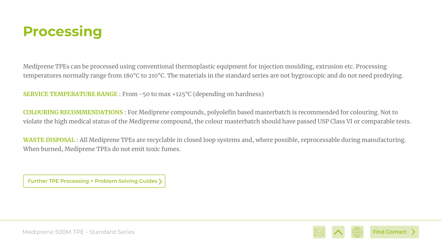Mediprene TPEs can be processed using conventional thermoplastic equipment for injection moulding, extrusion etc. Processing temperatures normally range from 180°C to 210°C. The materials in the standard series are not hygroscopic and do not need predrying.

**SERVICE TEMPERATURE RANGE** : From -50 to max +125°C (depending on hardness)

**COLOURING RECOMMENDATIONS** : For Mediprene compounds, polyolefin based masterbatch is recommended for colouring. Not to violate the high medical status of the Mediprene compound, the colour masterbatch should have passed USP Class VI or comparable tests.

**WASTE DISPOSAL** : All Mediprene TPEs are recyclable in closed loop systems and, where possible, reprocessable during manufacturing. When burned, Mediprene TPEs do not emit toxic fumes.

## <span id="page-16-0"></span>**Processing**

**[Further TPE Processing + Problem Solving Guides](https://www.hexpol.com/tpe/resources/tpe-academy/tpe-processing/)**



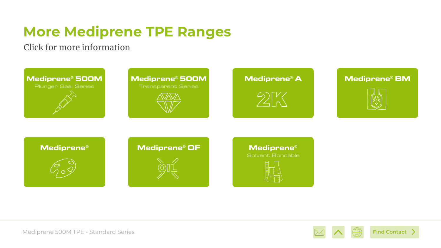# **More Mediprene TPE Ranges**

#### Click for more information



#### **Mediprene® 500M**

**Transparent Series** 















#### **Mediprene®**

Solvent Bondable